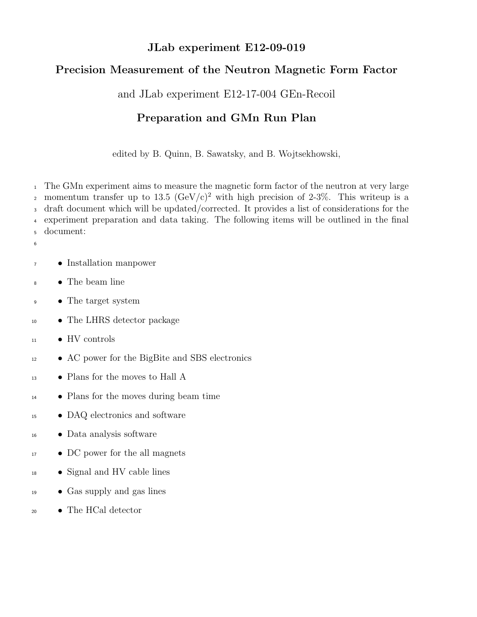#### JLab experiment E12-09-019

# Precision Measurement of the Neutron Magnetic Form Factor

and JLab experiment E12-17-004 GEn-Recoil

# Preparation and GMn Run Plan

edited by B. Quinn, B. Sawatsky, and B. Wojtsekhowski,

 The GMn experiment aims to measure the magnetic form factor of the neutron at very large 2 momentum transfer up to 13.5  $(GeV/c)^2$  with high precision of 2-3%. This writeup is a draft document which will be updated/corrected. It provides a list of considerations for the experiment preparation and data taking. The following items will be outlined in the final document:

- 
- Installation manpower
- The beam line
- The target system
- The LHRS detector package
- HV controls
- <sup>12</sup> AC power for the BigBite and SBS electronics
- Plans for the moves to Hall A
- Plans for the moves during beam time
- DAQ electronics and software
- Data analysis software
- DC power for the all magnets
- Signal and HV cable lines
- Gas supply and gas lines
- The HCal detector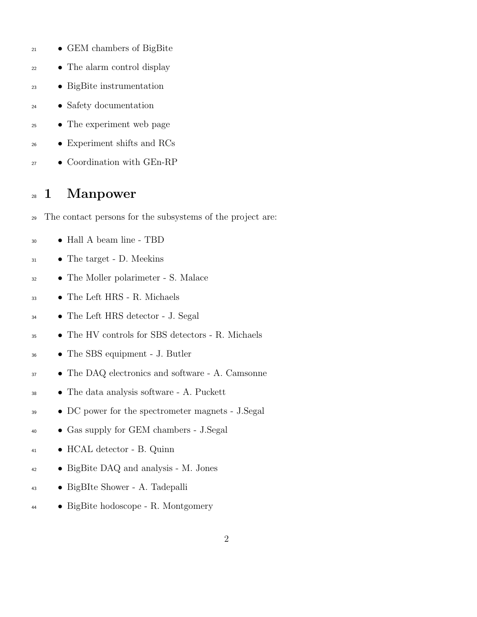- GEM chambers of BigBite
- The alarm control display
- BigBite instrumentation
- Safety documentation
- The experiment web page
- Experiment shifts and RCs
- Coordination with GEn-RP

# 1 Manpower

- The contact persons for the subsystems of the project are:
- Hall A beam line TBD
- The target D. Meekins
- The Moller polarimeter S. Malace
- The Left HRS R. Michaels
- The Left HRS detector J. Segal
- The HV controls for SBS detectors R. Michaels
- The SBS equipment J. Butler
- <sup>37</sup> The DAQ electronics and software A. Camsonne
- The data analysis software A. Puckett
- DC power for the spectrometer magnets J.Segal
- Gas supply for GEM chambers J.Segal
- HCAL detector B. Quinn
- BigBite DAQ and analysis M. Jones
- BigBIte Shower A. Tadepalli
- BigBite hodoscope R. Montgomery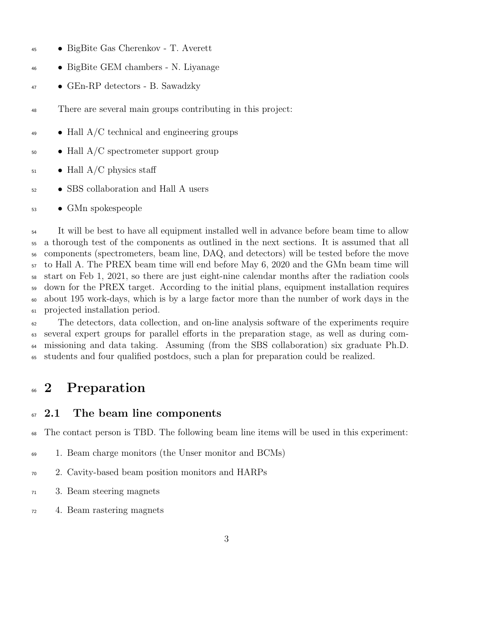- BigBite Gas Cherenkov T. Averett
- BigBite GEM chambers N. Liyanage
- GEn-RP detectors B. Sawadzky
- There are several main groups contributing in this project:
- $\bullet$  Hall A/C technical and engineering groups
- $\bullet$  Hall A/C spectrometer support group
- $_{51}$  Hall A/C physics staff
- SBS collaboration and Hall A users
- GMn spokespeople

<sup>54</sup> It will be best to have all equipment installed well in advance before beam time to allow a thorough test of the components as outlined in the next sections. It is assumed that all components (spectrometers, beam line, DAQ, and detectors) will be tested before the move to Hall A. The PREX beam time will end before May 6, 2020 and the GMn beam time will start on Feb 1, 2021, so there are just eight-nine calendar months after the radiation cools down for the PREX target. According to the initial plans, equipment installation requires about 195 work-days, which is by a large factor more than the number of work days in the projected installation period.

 The detectors, data collection, and on-line analysis software of the experiments require several expert groups for parallel efforts in the preparation stage, as well as during com- missioning and data taking. Assuming (from the SBS collaboration) six graduate Ph.D. students and four qualified postdocs, such a plan for preparation could be realized.

# <sup>66</sup> 2 Preparation

#### 2.1 The beam line components

The contact person is TBD. The following beam line items will be used in this experiment:

- 1. Beam charge monitors (the Unser monitor and BCMs)
- 2. Cavity-based beam position monitors and HARPs
- 3. Beam steering magnets
- 4. Beam rastering magnets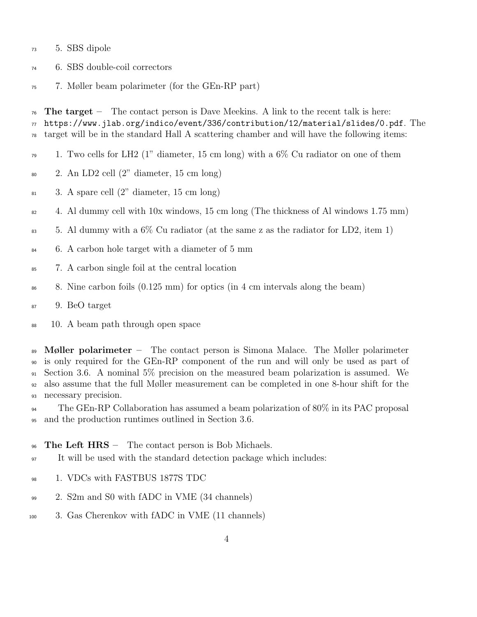- 5. SBS dipole
- 6. SBS double-coil correctors
- 7. Møller beam polarimeter (for the GEn-RP part)

The target – The contact person is Dave Meekins. A link to the recent talk is here:

- https://www.jlab.org/indico/event/336/contribution/12/material/slides/0.pdf. The  $\tau_8$  target will be in the standard Hall A scattering chamber and will have the following items:
- 1. Two cells for LH2 (1" diameter, 15 cm long) with a 6% Cu radiator on one of them
- 2. An LD2 cell (2" diameter, 15 cm long)
- 3. A spare cell  $(2^{\prime\prime})$  diameter, 15 cm long)
- $\mu_{82}$  4. Al dummy cell with 10x windows, 15 cm long (The thickness of Al windows 1.75 mm)
- 5. Al dummy with a 6% Cu radiator (at the same z as the radiator for LD2, item 1)
- 6. A carbon hole target with a diameter of 5 mm
- 7. A carbon single foil at the central location
- 8. Nine carbon foils (0.125 mm) for optics (in 4 cm intervals along the beam)
- 9. BeO target
- 10. A beam path through open space

 $\mathbb{R}^3$  Møller polarimeter – The contact person is Simona Malace. The Møller polarimeter is only required for the GEn-RP component of the run and will only be used as part of Section 3.6. A nominal 5% precision on the measured beam polarization is assumed. We also assume that the full Møller measurement can be completed in one 8-hour shift for the necessary precision.

<sup>94</sup> The GEn-RP Collaboration has assumed a beam polarization of 80% in its PAC proposal and the production runtimes outlined in Section 3.6.

 $\gamma$ <sub>96</sub> The Left HRS – The contact person is Bob Michaels.

- It will be used with the standard detection package which includes:
- 98 1. VDCs with FASTBUS 1877S TDC
- 2. S2m and S0 with fADC in VME (34 channels)
- 3. Gas Cherenkov with fADC in VME (11 channels)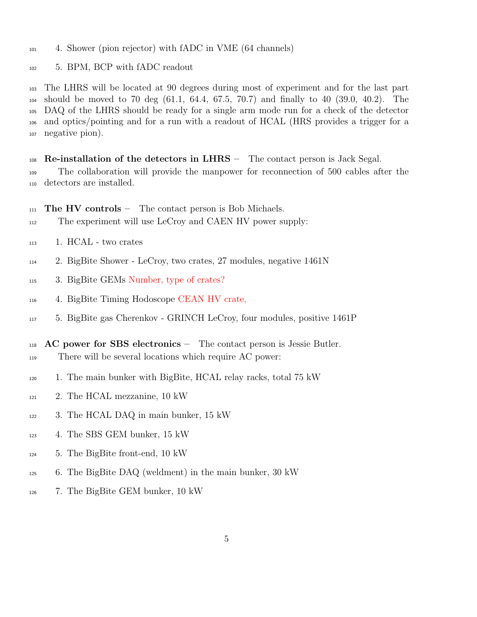4. Shower (pion rejector) with fADC in VME (64 channels)

5. BPM, BCP with fADC readout

 The LHRS will be located at 90 degrees during most of experiment and for the last part should be moved to 70 deg (61.1, 64.4, 67.5, 70.7) and finally to 40 (39.0, 40.2). The DAQ of the LHRS should be ready for a single arm mode run for a check of the detector and optics/pointing and for a run with a readout of HCAL (HRS provides a trigger for a negative pion).

 Re-installation of the detectors in LHRS – The contact person is Jack Segal. The collaboration will provide the manpower for reconnection of 500 cables after the detectors are installed.

 $_{111}$  The HV controls – The contact person is Bob Michaels.

- The experiment will use LeCroy and CAEN HV power supply:
- 1. HCAL two crates
- 2. BigBite Shower LeCroy, two crates, 27 modules, negative 1461N
- 3. BigBite GEMs Number, type of crates?
- 4. BigBite Timing Hodoscope CEAN HV crate,
- 5. BigBite gas Cherenkov GRINCH LeCroy, four modules, positive 1461P
- AC power for SBS electronics The contact person is Jessie Butler. There will be several locations which require AC power:
- 1. The main bunker with BigBite, HCAL relay racks, total 75 kW
- 2. The HCAL mezzanine, 10 kW
- 3. The HCAL DAQ in main bunker, 15 kW
- 4. The SBS GEM bunker, 15 kW
- 5. The BigBite front-end, 10 kW
- 6. The BigBite DAQ (weldment) in the main bunker, 30 kW
- 7. The BigBite GEM bunker, 10 kW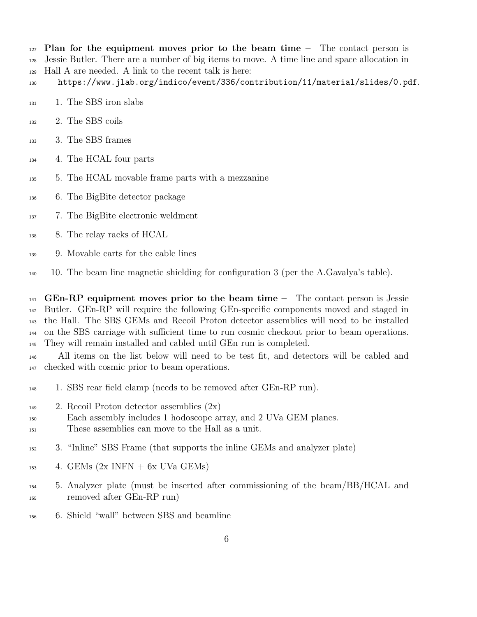Plan for the equipment moves prior to the beam time – The contact person is Jessie Butler. There are a number of big items to move. A time line and space allocation in Hall A are needed. A link to the recent talk is here:

- https://www.jlab.org/indico/event/336/contribution/11/material/slides/0.pdf.
- <sup>131</sup> 1. The SBS iron slabs
- 2. The SBS coils
- 3. The SBS frames
- 4. The HCAL four parts
- 5. The HCAL movable frame parts with a mezzanine
- 6. The BigBite detector package
- 7. The BigBite electronic weldment
- 8. The relay racks of HCAL
- 9. Movable carts for the cable lines
- 10. The beam line magnetic shielding for configuration 3 (per the A.Gavalya's table).

 GEn-RP equipment moves prior to the beam time – The contact person is Jessie Butler. GEn-RP will require the following GEn-specific components moved and staged in the Hall. The SBS GEMs and Recoil Proton detector assemblies will need to be installed on the SBS carriage with sufficient time to run cosmic checkout prior to beam operations. They will remain installed and cabled until GEn run is completed.

 All items on the list below will need to be test fit, and detectors will be cabled and checked with cosmic prior to beam operations.

- 1. SBS rear field clamp (needs to be removed after GEn-RP run).
- 2. Recoil Proton detector assemblies (2x)
- Each assembly includes 1 hodoscope array, and 2 UVa GEM planes.
- These assemblies can move to the Hall as a unit.
- 3. "Inline" SBS Frame (that supports the inline GEMs and analyzer plate)
- 4. GEMs  $(2x \text{ INFN} + 6x \text{ UVa} \text{ GEMs})$
- 5. Analyzer plate (must be inserted after commissioning of the beam/BB/HCAL and removed after GEn-RP run)
- 6. Shield "wall" between SBS and beamline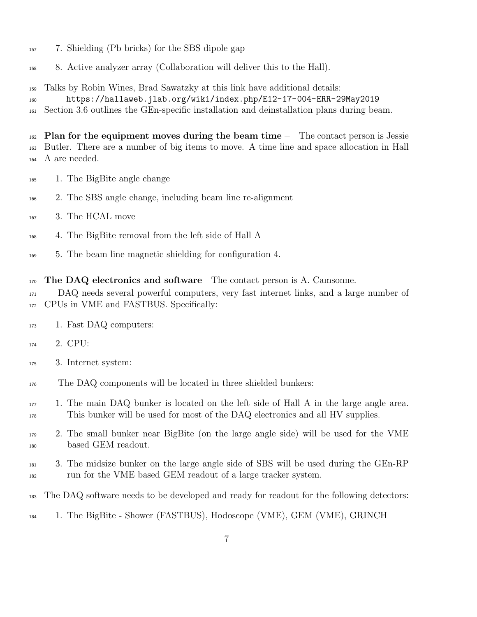- 7. Shielding (Pb bricks) for the SBS dipole gap
- 8. Active analyzer array (Collaboration will deliver this to the Hall).
- Talks by Robin Wines, Brad Sawatzky at this link have additional details:
- https://hallaweb.jlab.org/wiki/index.php/E12-17-004-ERR-29May2019
- Section 3.6 outlines the GEn-specific installation and deinstallation plans during beam.

 Plan for the equipment moves during the beam time  $-$  The contact person is Jessie Butler. There are a number of big items to move. A time line and space allocation in Hall A are needed.

- 1. The BigBite angle change
- 2. The SBS angle change, including beam line re-alignment
- 3. The HCAL move
- 4. The BigBite removal from the left side of Hall A
- 5. The beam line magnetic shielding for configuration 4.
- The DAQ electronics and software The contact person is A. Camsonne.
- DAQ needs several powerful computers, very fast internet links, and a large number of CPUs in VME and FASTBUS. Specifically:
- 1. Fast DAQ computers:
- 2. CPU:
- 3. Internet system:
- The DAQ components will be located in three shielded bunkers:
- 1. The main DAQ bunker is located on the left side of Hall A in the large angle area. This bunker will be used for most of the DAQ electronics and all HV supplies.
- 2. The small bunker near BigBite (on the large angle side) will be used for the VME based GEM readout.
- 3. The midsize bunker on the large angle side of SBS will be used during the GEn-RP run for the VME based GEM readout of a large tracker system.
- The DAQ software needs to be developed and ready for readout for the following detectors:
- 1. The BigBite Shower (FASTBUS), Hodoscope (VME), GEM (VME), GRINCH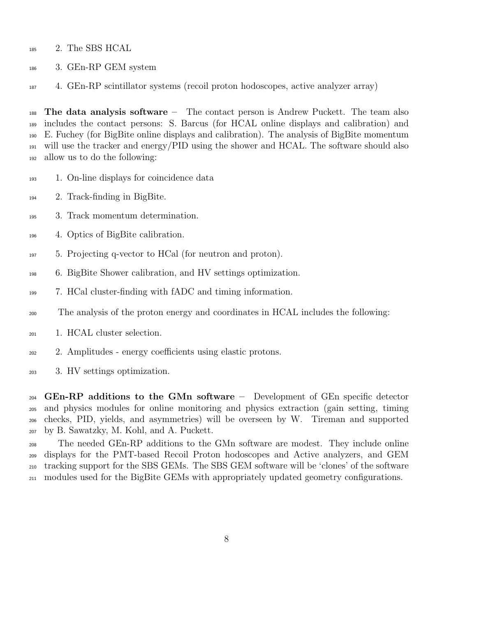- 185 2. The SBS HCAL
- 3. GEn-RP GEM system
- 4. GEn-RP scintillator systems (recoil proton hodoscopes, active analyzer array)

 The data analysis software – The contact person is Andrew Puckett. The team also includes the contact persons: S. Barcus (for HCAL online displays and calibration) and E. Fuchey (for BigBite online displays and calibration). The analysis of BigBite momentum will use the tracker and energy/PID using the shower and HCAL. The software should also allow us to do the following:

- 1. On-line displays for coincidence data
- 2. Track-finding in BigBite.
- 3. Track momentum determination.
- 4. Optics of BigBite calibration.
- 5. Projecting q-vector to HCal (for neutron and proton).
- 6. BigBite Shower calibration, and HV settings optimization.
- 7. HCal cluster-finding with fADC and timing information.
- The analysis of the proton energy and coordinates in HCAL includes the following:
- 1. HCAL cluster selection.
- 2. Amplitudes energy coefficients using elastic protons.
- 3. HV settings optimization.

 GEn-RP additions to the GMn software – Development of GEn specific detector and physics modules for online monitoring and physics extraction (gain setting, timing checks, PID, yields, and asymmetries) will be overseen by W. Tireman and supported by B. Sawatzky, M. Kohl, and A. Puckett.

 The needed GEn-RP additions to the GMn software are modest. They include online displays for the PMT-based Recoil Proton hodoscopes and Active analyzers, and GEM tracking support for the SBS GEMs. The SBS GEM software will be 'clones' of the software modules used for the BigBite GEMs with appropriately updated geometry configurations.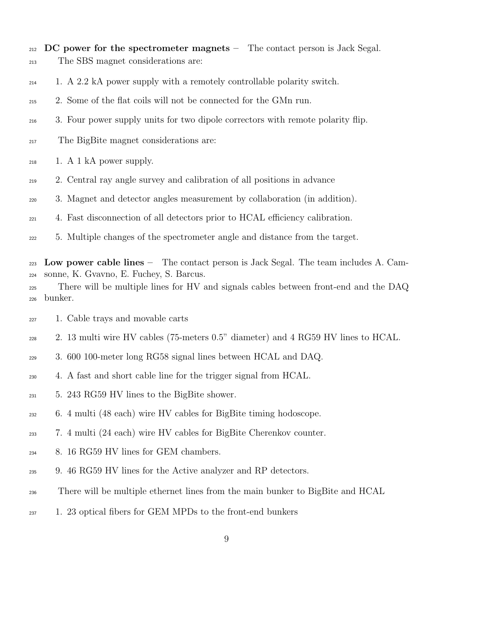- DC power for the spectrometer magnets The contact person is Jack Segal. The SBS magnet considerations are:
- 1. A 2.2 kA power supply with a remotely controllable polarity switch.
- 2. Some of the flat coils will not be connected for the GMn run.
- 3. Four power supply units for two dipole correctors with remote polarity flip.
- The BigBite magnet considerations are:
- $_{218}$  1. A 1 kA power supply.
- 2. Central ray angle survey and calibration of all positions in advance
- 3. Magnet and detector angles measurement by collaboration (in addition).
- 4. Fast disconnection of all detectors prior to HCAL efficiency calibration.
- 5. Multiple changes of the spectrometer angle and distance from the target.

 Low power cable lines – The contact person is Jack Segal. The team includes A. Cam-sonne, K. Gvavno, E. Fuchey, S. Barcus.

- There will be multiple lines for HV and signals cables between front-end and the DAQ bunker.
- 1. Cable trays and movable carts
- 2. 13 multi wire HV cables (75-meters 0.5" diameter) and 4 RG59 HV lines to HCAL.
- 3. 600 100-meter long RG58 signal lines between HCAL and DAQ.
- 4. A fast and short cable line for the trigger signal from HCAL.
- 5. 243 RG59 HV lines to the BigBite shower.
- 6. 4 multi (48 each) wire HV cables for BigBite timing hodoscope.
- 7. 4 multi (24 each) wire HV cables for BigBite Cherenkov counter.
- 8. 16 RG59 HV lines for GEM chambers.
- 9. 46 RG59 HV lines for the Active analyzer and RP detectors.
- There will be multiple ethernet lines from the main bunker to BigBite and HCAL
- 1. 23 optical fibers for GEM MPDs to the front-end bunkers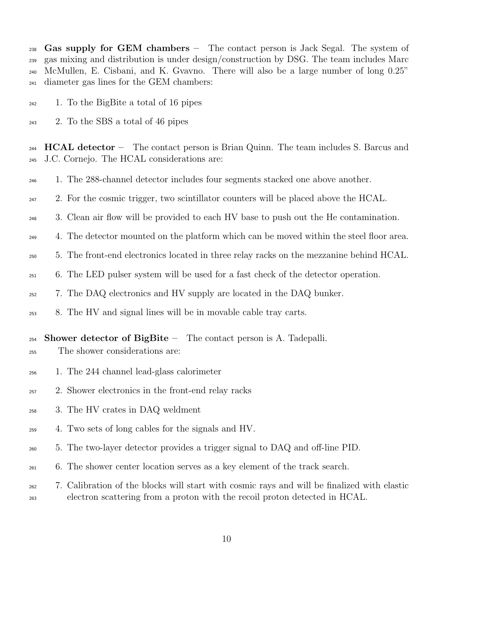<sup>238</sup> Gas supply for GEM chambers – The contact person is Jack Segal. The system of gas mixing and distribution is under design/construction by DSG. The team includes Marc McMullen, E. Cisbani, and K. Gvavno. There will also be a large number of long 0.25" diameter gas lines for the GEM chambers:

- 1. To the BigBite a total of 16 pipes
- 2. To the SBS a total of 46 pipes

 $_{244}$  HCAL detector – The contact person is Brian Quinn. The team includes S. Barcus and J.C. Cornejo. The HCAL considerations are:

- 1. The 288-channel detector includes four segments stacked one above another.
- $_{247}$  2. For the cosmic trigger, two scintillator counters will be placed above the HCAL.
- 3. Clean air flow will be provided to each HV base to push out the He contamination.
- 4. The detector mounted on the platform which can be moved within the steel floor area.
- 5. The front-end electronics located in three relay racks on the mezzanine behind HCAL.
- 6. The LED pulser system will be used for a fast check of the detector operation.
- 7. The DAQ electronics and HV supply are located in the DAQ bunker.
- 8. The HV and signal lines will be in movable cable tray carts.

#### Shower detector of BigBite – The contact person is A. Tadepalli.

- The shower considerations are:
- 1. The 244 channel lead-glass calorimeter
- 2. Shower electronics in the front-end relay racks
- 3. The HV crates in DAQ weldment
- 4. Two sets of long cables for the signals and HV.
- 5. The two-layer detector provides a trigger signal to DAQ and off-line PID.
- 6. The shower center location serves as a key element of the track search.
- 7. Calibration of the blocks will start with cosmic rays and will be finalized with elastic electron scattering from a proton with the recoil proton detected in HCAL.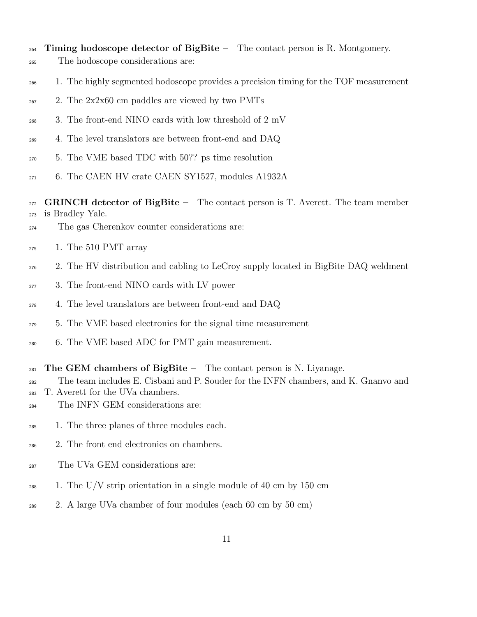- $_{264}$  Timing hodoscope detector of BigBite The contact person is R. Montgomery.
- The hodoscope considerations are:
- 1. The highly segmented hodoscope provides a precision timing for the TOF measurement
- 2. The  $2x2x60$  cm paddles are viewed by two PMTs
- 3. The front-end NINO cards with low threshold of 2 mV
- 4. The level translators are between front-end and DAQ
- 5. The VME based TDC with 50?? ps time resolution
- 6. The CAEN HV crate CAEN SY1527, modules A1932A

 $_{272}$  GRINCH detector of BigBite – The contact person is T. Averett. The team member is Bradley Yale.

- The gas Cherenkov counter considerations are:
- 1. The 510 PMT array
- 2. The HV distribution and cabling to LeCroy supply located in BigBite DAQ weldment
- 3. The front-end NINO cards with LV power
- 4. The level translators are between front-end and DAQ
- 5. The VME based electronics for the signal time measurement
- 6. The VME based ADC for PMT gain measurement.
- 281 The GEM chambers of BigBite The contact person is N. Liyanage.
- The team includes E. Cisbani and P. Souder for the INFN chambers, and K. Gnanvo and
- T. Averett for the UVa chambers.
- The INFN GEM considerations are:
- 1. The three planes of three modules each.
- 2. The front end electronics on chambers.
- The UVa GEM considerations are:
- $_{288}$  1. The U/V strip orientation in a single module of 40 cm by 150 cm
- 2. A large UVa chamber of four modules (each 60 cm by 50 cm)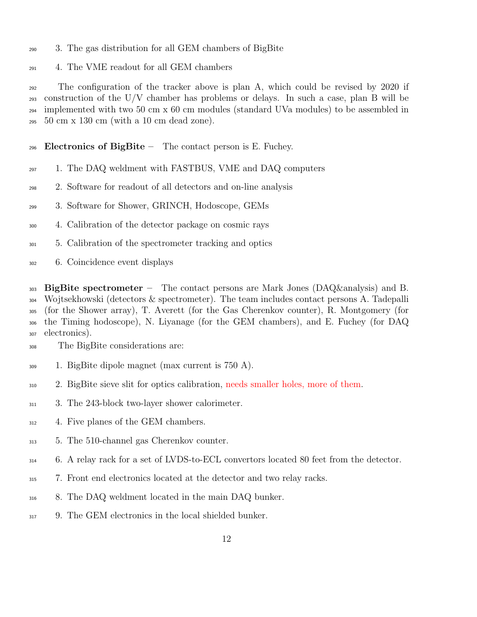- 3. The gas distribution for all GEM chambers of BigBite
- 4. The VME readout for all GEM chambers

 The configuration of the tracker above is plan A, which could be revised by 2020 if construction of the U/V chamber has problems or delays. In such a case, plan B will be  $_{294}$  implemented with two 50 cm x 60 cm modules (standard UVa modules) to be assembled in 50 cm x 130 cm (with a 10 cm dead zone).

- Electronics of BigBite The contact person is E. Fuchey.
- 1. The DAQ weldment with FASTBUS, VME and DAQ computers
- 2. Software for readout of all detectors and on-line analysis
- 3. Software for Shower, GRINCH, Hodoscope, GEMs
- 4. Calibration of the detector package on cosmic rays
- 5. Calibration of the spectrometer tracking and optics
- 6. Coincidence event displays

303 BigBite spectrometer – The contact persons are Mark Jones (DAQ&analysis) and B. Wojtsekhowski (detectors & spectrometer). The team includes contact persons A. Tadepalli (for the Shower array), T. Averett (for the Gas Cherenkov counter), R. Montgomery (for the Timing hodoscope), N. Liyanage (for the GEM chambers), and E. Fuchey (for DAQ electronics).

- The BigBite considerations are:
- 1. BigBite dipole magnet (max current is 750 A).
- 2. BigBite sieve slit for optics calibration, needs smaller holes, more of them.
- 311 3. The 243-block two-layer shower calorimeter.
- <sup>312</sup> 4. Five planes of the GEM chambers.
- 5. The 510-channel gas Cherenkov counter.
- 6. A relay rack for a set of LVDS-to-ECL convertors located 80 feet from the detector.
- 7. Front end electronics located at the detector and two relay racks.
- 8. The DAQ weldment located in the main DAQ bunker.
- 9. The GEM electronics in the local shielded bunker.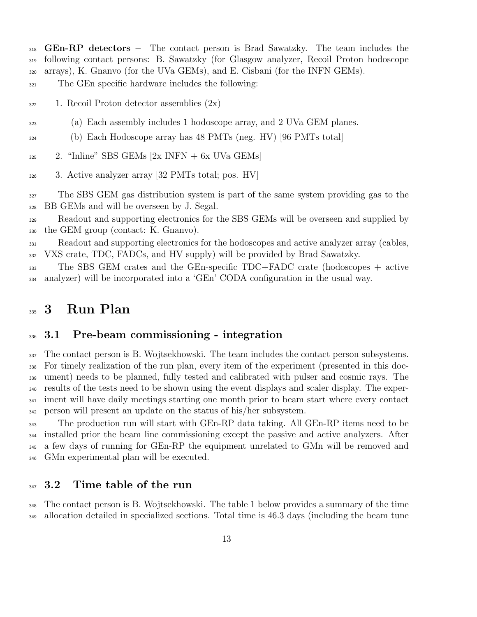**GEn-RP** detectors – The contact person is Brad Sawatzky. The team includes the following contact persons: B. Sawatzky (for Glasgow analyzer, Recoil Proton hodoscope arrays), K. Gnanvo (for the UVa GEMs), and E. Cisbani (for the INFN GEMs).

The GEn specific hardware includes the following:

1. Recoil Proton detector assemblies  $(2x)$ 

- (a) Each assembly includes 1 hodoscope array, and 2 UVa GEM planes.
- (b) Each Hodoscope array has 48 PMTs (neg. HV) [96 PMTs total]
- 2. "Inline" SBS GEMs  $[2x]$  INFN + 6x UVa GEMs]
- 3. Active analyzer array [32 PMTs total; pos. HV]

 The SBS GEM gas distribution system is part of the same system providing gas to the BB GEMs and will be overseen by J. Segal.

 Readout and supporting electronics for the SBS GEMs will be overseen and supplied by the GEM group (contact: K. Gnanvo).

 Readout and supporting electronics for the hodoscopes and active analyzer array (cables, VXS crate, TDC, FADCs, and HV supply) will be provided by Brad Sawatzky.

 The SBS GEM crates and the GEn-specific TDC+FADC crate (hodoscopes + active analyzer) will be incorporated into a 'GEn' CODA configuration in the usual way.

# 335 3 Run Plan

#### 3.1 Pre-beam commissioning - integration

 The contact person is B. Wojtsekhowski. The team includes the contact person subsystems. For timely realization of the run plan, every item of the experiment (presented in this doc- ument) needs to be planned, fully tested and calibrated with pulser and cosmic rays. The results of the tests need to be shown using the event displays and scaler display. The exper- iment will have daily meetings starting one month prior to beam start where every contact person will present an update on the status of his/her subsystem.

<sup>343</sup> The production run will start with GEn-RP data taking. All GEn-RP items need to be installed prior the beam line commissioning except the passive and active analyzers. After a few days of running for GEn-RP the equipment unrelated to GMn will be removed and GMn experimental plan will be executed.

#### 347 3.2 Time table of the run

 The contact person is B. Wojtsekhowski. The table 1 below provides a summary of the time allocation detailed in specialized sections. Total time is 46.3 days (including the beam tune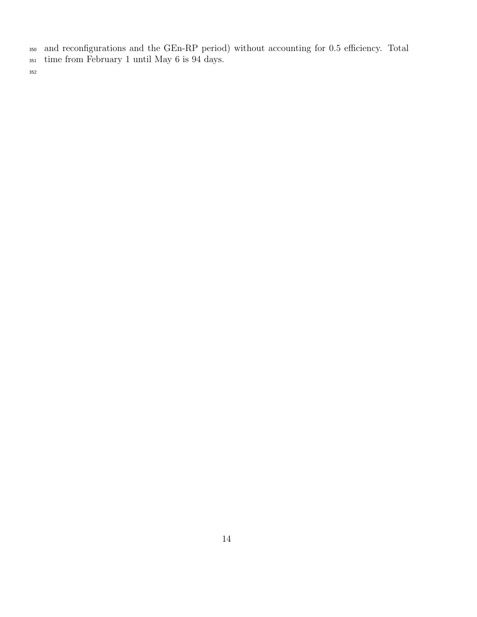and reconfigurations and the GEn-RP period) without accounting for 0.5 efficiency. Total

time from February 1 until May 6 is 94 days.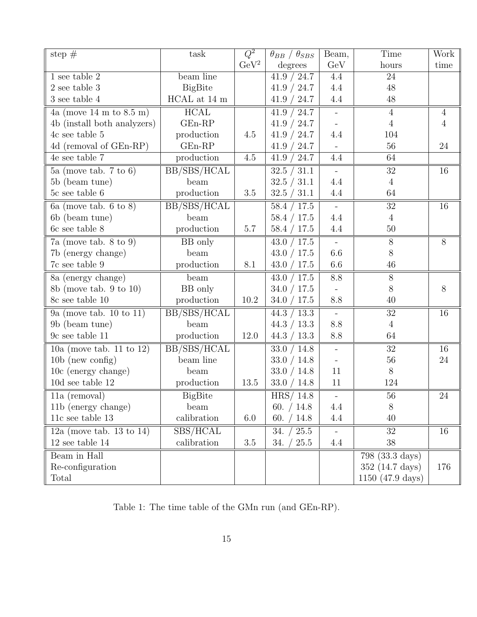| step $#$                                     | task                     | $\overline{Q^2}$ | $\theta_{BB}$ / $\theta_{SBS}$ | Beam,                    | Time                       | Work            |
|----------------------------------------------|--------------------------|------------------|--------------------------------|--------------------------|----------------------------|-----------------|
|                                              |                          | $\rm GeV^2$      | degrees                        | GeV                      | hours                      | time            |
| $1$ see table $2$                            | beam line                |                  | 41.9 / 24.7                    | 4.4                      | $\overline{24}$            |                 |
| $2$ see table $3$                            | <b>BigBite</b>           |                  | 41.9 / 24.7                    | 4.4                      | 48                         |                 |
| $3$ see table $4$                            | $\rm HCAL$ at 14 $\rm m$ |                  | 41.9 / 24.7                    | 4.4                      | 48                         |                 |
| 4a (move $14 \text{ m}$ to $8.5 \text{ m}$ ) | HCAL                     |                  | 41.9 / 24.7                    | $\overline{\phantom{a}}$ | $\overline{4}$             | $\overline{4}$  |
| 4b (install both analyzers)                  | $GEn-RP$                 |                  | 41.9 / 24.7                    | $\overline{\phantom{a}}$ | $\overline{4}$             | $\overline{4}$  |
| $4c$ see table $5\,$                         | production               | 4.5              | 41.9 / 24.7                    | 4.4                      | 104                        |                 |
| 4d (removal of GEn-RP)                       | $GEn-RP$                 |                  | 41.9 / 24.7                    |                          | 56                         | 24              |
| 4e see table $7$                             | production               | 4.5              | 41.9 / 24.7                    | 4.4                      | 64                         |                 |
| 5a (move tab. $7 \text{ to } 6$ )            | BB/SBS/HCAL              |                  | 32.5 / 31.1                    | $\overline{a}$           | 32                         | 16              |
| 5b (beam tune)                               | beam                     |                  | 32.5 / 31.1                    | 4.4                      | $\overline{4}$             |                 |
| 5c see table 6                               | production               | 3.5              | 32.5 / 31.1                    | 4.4                      | 64                         |                 |
| $6a$ (move tab. 6 to 8)                      | BB/SBS/HCAL              |                  | 58.4 / 17.5                    | $\blacksquare$           | $\overline{32}$            | $\overline{16}$ |
| 6b (beam tune)                               | beam                     |                  | 58.4 / 17.5                    | 4.4                      | $\overline{4}$             |                 |
| 6c see table 8                               | production               | 5.7              | 58.4 / 17.5                    | 4.4                      | 50                         |                 |
| $7a$ (move tab. 8 to 9)                      | BB only                  |                  | 43.0 / 17.5                    |                          | $\overline{8}$             | $\overline{8}$  |
| 7b (energy change)                           | beam                     |                  | 43.0 / 17.5                    | 6.6                      | $8\,$                      |                 |
| 7c see table 9                               | production               | 8.1              | 43.0 / 17.5                    | 6.6                      | 46                         |                 |
| 8a (energy change)                           | beam                     |                  | 43.0 / 17.5                    | 8.8                      | $8\,$                      |                 |
| 8b (move tab. $9$ to 10)                     | BB only                  |                  | 34.0 / 17.5                    |                          | $8\,$                      | $8\,$           |
| 8c see table 10                              | production               | 10.2             | 34.0 / 17.5                    | 8.8                      | 40                         |                 |
| 9a (move tab. $10$ to $11$ )                 | BB/SBS/HCAL              |                  | 44.3 / 13.3                    | $\overline{\phantom{a}}$ | $32\,$                     | 16              |
| 9b (beam tune)                               | beam                     |                  | 44.3 / 13.3                    | 8.8                      | $\overline{4}$             |                 |
| 9c see table 11                              | production               | 12.0             | 44.3 / 13.3                    | 8.8                      | 64                         |                 |
| $10a$ (move tab. 11 to 12)                   | BB/SBS/HCAL              |                  | 33.0 / 14.8                    | $\Box$                   | 32                         | 16              |
| $10b$ (new config)                           | beam line                |                  | 33.0 / 14.8                    | $\overline{\phantom{0}}$ | 56                         | 24              |
| 10c (energy change)                          | beam                     |                  | 33.0 / 14.8                    | 11                       | $8\,$                      |                 |
| $10d$ see table $12\,$                       | production               | 13.5             | 33.0 / 14.8                    | 11                       | 124                        |                 |
| $11a$ (removal)                              | <b>BigBite</b>           |                  | HRS/14.8                       |                          | $56\,$                     | $\overline{24}$ |
| 11b (energy change)                          | beam                     |                  | 60. $/ 14.8$                   | 4.4                      | 8                          |                 |
| $11c$ see table $13$                         | calibration              | 6.0              | 60. $/ 14.8$                   | 4.4                      | $40\,$                     |                 |
| 12a (move tab. 13 to 14)                     | SBS/HCAL                 |                  | 34. $/ 25.5$                   |                          | 32                         | 16              |
| $12$ see table $14$                          | calibration              | $3.5\,$          | 34. $/ 25.5$                   | 4.4                      | 38                         |                 |
| Beam in Hall                                 |                          |                  |                                |                          | $798$ (33.3 days)          |                 |
| Re-configuration                             |                          |                  |                                |                          | $352(14.7 \text{ days})$   | 176             |
| Total                                        |                          |                  |                                |                          | $1150 (47.9 \text{ days})$ |                 |

Table 1: The time table of the GMn run (and GEn-RP).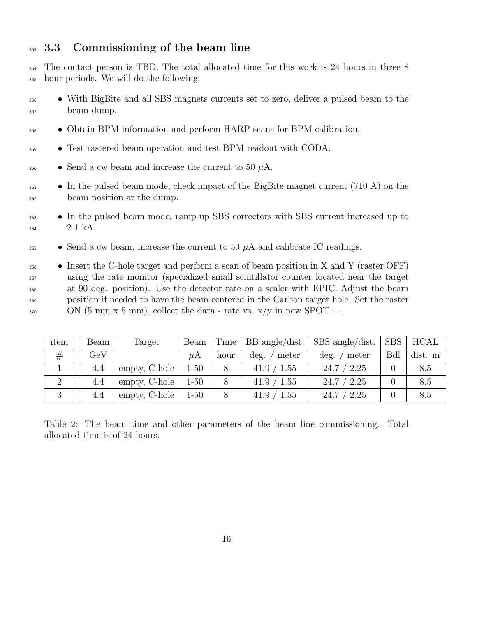#### 353 3.3 Commissioning of the beam line

 The contact person is TBD. The total allocated time for this work is 24 hours in three 8 hour periods. We will do the following:

- With BigBite and all SBS magnets currents set to zero, deliver a pulsed beam to the beam dump.
- Obtain BPM information and perform HARP scans for BPM calibration.
- Test rastered beam operation and test BPM readout with CODA.
- <sup>360</sup> Send a cw beam and increase the current to 50  $\mu$ A.
- $\bullet$  In the pulsed beam mode, check impact of the BigBite magnet current (710 A) on the beam position at the dump.
- <sup>363</sup> In the pulsed beam mode, ramp up SBS correctors with SBS current increased up to 2.1 kA.
- $\bullet$  Send a cw beam, increase the current to 50  $\mu$ A and calibrate IC readings.

 $\bullet$  Insert the C-hole target and perform a scan of beam position in X and Y (raster OFF) using the rate monitor (specialized small scintillator counter located near the target at 90 deg. position). Use the detector rate on a scaler with EPIC. Adjust the beam position if needed to have the beam centered in the Carbon target hole. Set the raster ON (5 mm x 5 mm), collect the data - rate vs.  $x/y$  in new SPOT++.

| item           | Beam | Target        | Beam     | Time | BB angle/dist.  | $SBS$ angle/dist.         | SBS | HCAL    |
|----------------|------|---------------|----------|------|-----------------|---------------------------|-----|---------|
| #              | GeV  |               | uΑ       | hour | meter<br>deg.   | $\deg.$<br>meter          | Bdl | dist. m |
|                | 4.4  | empty, C-hole | $1 - 50$ |      | '1.55<br>41.9 / | 2.25<br>24.7 <sub>1</sub> |     | 8.5     |
| $\overline{2}$ | 4.4  | empty, C-hole | $1 - 50$ |      | 41.9 / 1.55     | 2.25<br>24.7 /            |     | 8.5     |
| 3              | 4.4  | empty, C-hole | $1 - 50$ |      | 1.55<br>41.9 /  | 2.25<br>24.7              |     | 8.5     |

Table 2: The beam time and other parameters of the beam line commissioning. Total allocated time is of 24 hours.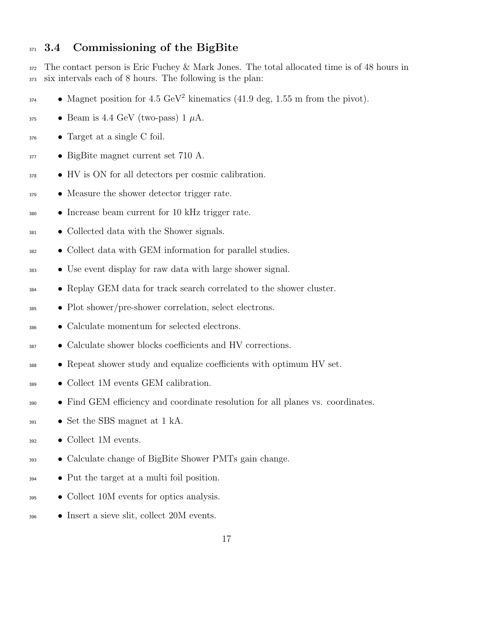#### 371 3.4 Commissioning of the BigBite

 The contact person is Eric Fuchey & Mark Jones. The total allocated time is of 48 hours in six intervals each of 8 hours. The following is the plan:

- Magnet position for  $4.5 \text{ GeV}^2$  kinematics  $(41.9 \text{ deg}, 1.55 \text{ m from the pivot}).$
- $\bullet$  Beam is 4.4 GeV (two-pass) 1  $\mu$ A.
- Target at a single C foil.
- BigBite magnet current set 710 A.
- HV is ON for all detectors per cosmic calibration.
- <sup>379</sup> Measure the shower detector trigger rate.
- Increase beam current for 10 kHz trigger rate.
- Collected data with the Shower signals.
- Collect data with GEM information for parallel studies.
- Use event display for raw data with large shower signal.
- Replay GEM data for track search correlated to the shower cluster.
- Plot shower/pre-shower correlation, select electrons.
- Calculate momentum for selected electrons.
- Calculate shower blocks coefficients and HV corrections.
- Repeat shower study and equalize coefficients with optimum HV set.
- Collect 1M events GEM calibration.
- Find GEM efficiency and coordinate resolution for all planes vs. coordinates.
- $\bullet$  Set the SBS magnet at 1 kA.
- Collect 1M events.
- Calculate change of BigBite Shower PMTs gain change.
- Put the target at a multi foil position.
- Collect 10M events for optics analysis.
- Insert a sieve slit, collect 20M events.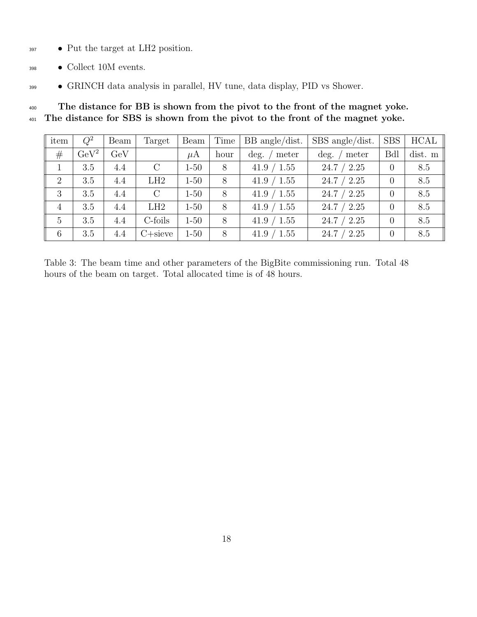- Put the target at LH2 position.
- Collect 10M events.
- GRINCH data analysis in parallel, HV tune, data display, PID vs Shower.

<sup>400</sup> The distance for BB is shown from the pivot to the front of the magnet yoke. The distance for SBS is shown from the pivot to the front of the magnet yoke.

| item           | $Q^2$       | Beam | Target        | Beam     | Time | $BB$ angle/dist. | $SBS$ angle/dist. | <b>SBS</b> | <b>HCAL</b> |
|----------------|-------------|------|---------------|----------|------|------------------|-------------------|------------|-------------|
| #              | $\rm GeV^2$ | GeV  |               | $\mu$ A  | hour | meter<br>deg.    | $\deg.$<br>meter  | <b>Bdl</b> | dist. m     |
|                | 3.5         | 4.4  | $\mathcal{C}$ | $1 - 50$ | 8    | 41.9 / 1.55      | 24.7 / 2.25       | $\theta$   | 8.5         |
| 2              | 3.5         | 4.4  | LH2           | $1 - 50$ | 8    | 41.9 / 1.55      | 24.7 / 2.25       | $\theta$   | 8.5         |
| 3              | 3.5         | 4.4  | $\rm C$       | $1 - 50$ | 8    | 41.9 / 1.55      | 24.7 / 2.25       | $\Omega$   | 8.5         |
| $\overline{4}$ | 3.5         | 4.4  | LH2           | $1 - 50$ | 8    | 41.9 / 1.55      | 24.7 / 2.25       | $\theta$   | 8.5         |
| $\overline{5}$ | 3.5         | 4.4  | C-foils       | $1 - 50$ | 8    | 41.9 / 1.55      | 24.7 / 2.25       | $\theta$   | 8.5         |
| 6              | 3.5         | 4.4  | $C+size$      | $1 - 50$ | 8    | 41.9 / 1.55      | 24.7 / 2.25       | $\theta$   | 8.5         |

Table 3: The beam time and other parameters of the BigBite commissioning run. Total 48 hours of the beam on target. Total allocated time is of 48 hours.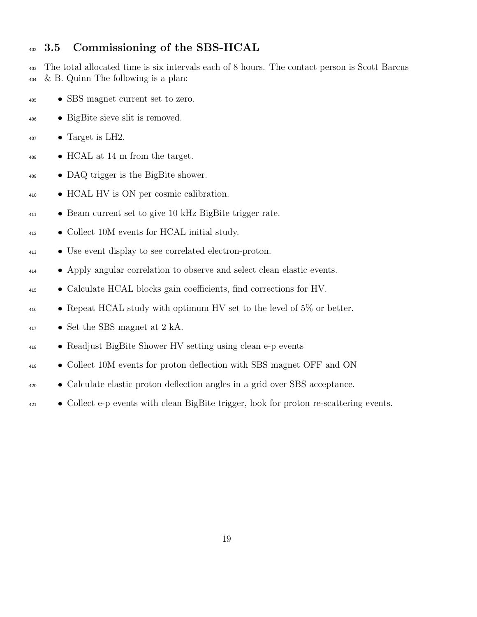#### 402 3.5 Commissioning of the SBS-HCAL

 The total allocated time is six intervals each of 8 hours. The contact person is Scott Barcus  $404 \& B.$  Quinn The following is a plan:

- SBS magnet current set to zero.
- BigBite sieve slit is removed.
- Target is LH2.
- HCAL at 14 m from the target.
- DAQ trigger is the BigBite shower.
- HCAL HV is ON per cosmic calibration.
- Beam current set to give 10 kHz BigBite trigger rate.
- Collect 10M events for HCAL initial study.
- Use event display to see correlated electron-proton.
- Apply angular correlation to observe and select clean elastic events.
- Calculate HCAL blocks gain coefficients, find corrections for HV.
- Repeat HCAL study with optimum HV set to the level of 5% or better.
- Set the SBS magnet at 2 kA.
- Readjust BigBite Shower HV setting using clean e-p events
- Collect 10M events for proton deflection with SBS magnet OFF and ON
- Calculate elastic proton deflection angles in a grid over SBS acceptance.
- Collect e-p events with clean BigBite trigger, look for proton re-scattering events.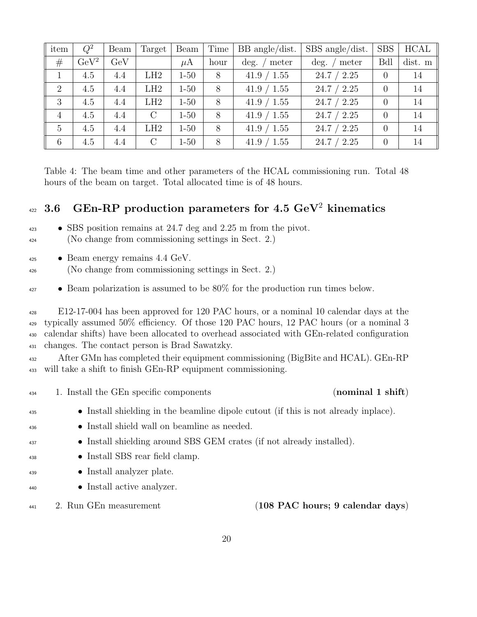| item           | $Q^2$       | Beam | Target        | Beam     | Time | $BB$ angle/dist. | SBS angle/dist.  | <b>SBS</b>     | <b>HCAL</b> |
|----------------|-------------|------|---------------|----------|------|------------------|------------------|----------------|-------------|
| #              | $\rm GeV^2$ | GeV  |               | $\mu$ A  | hour | deg.<br>meter    | $\deg.$<br>meter | <b>Bdl</b>     | dist. m     |
|                | 4.5         | 4.4  | LH2           | $1 - 50$ | 8    | 41.9 / 1.55      | 24.7 / 2.25      | $\Omega$       | 14          |
| 2              | 4.5         | 4.4  | LH2           | $1 - 50$ | 8    | 41.9 / 1.55      | 24.7 / 2.25      |                | 14          |
| 3              | 4.5         | 4.4  | LH2           | $1 - 50$ | 8    | 41.9 / 1.55      | 24.7 / 2.25      | $\overline{0}$ | 14          |
| $\overline{4}$ | 4.5         | 4.4  | $\mathcal{C}$ | $1 - 50$ | 8    | 41.9 / 1.55      | 24.7 / 2.25      | $\overline{0}$ | 14          |
| $\overline{5}$ | 4.5         | 4.4  | LH2           | $1 - 50$ | 8    | 41.9 / 1.55      | 24.7 / 2.25      |                | 14          |
| 6              | 4.5         | 4.4  | $\rm C$       | $1 - 50$ | 8    | 41.9 / 1.55      | 24.7 / 2.25      | $\overline{0}$ | 14          |

Table 4: The beam time and other parameters of the HCAL commissioning run. Total 48 hours of the beam on target. Total allocated time is of 48 hours.

## $3.6$  GEn-RP production parameters for 4.5 GeV<sup>2</sup> kinematics

- SBS position remains at 24.7 deg and 2.25 m from the pivot. (No change from commissioning settings in Sect. 2.)
- Beam energy remains 4.4 GeV.
- (No change from commissioning settings in Sect. 2.)
- Beam polarization is assumed to be 80% for the production run times below.

 E12-17-004 has been approved for 120 PAC hours, or a nominal 10 calendar days at the typically assumed 50% efficiency. Of those 120 PAC hours, 12 PAC hours (or a nominal 3 calendar shifts) have been allocated to overhead associated with GEn-related configuration changes. The contact person is Brad Sawatzky.

 After GMn has completed their equipment commissioning (BigBite and HCAL). GEn-RP will take a shift to finish GEn-RP equipment commissioning.

<sup>434</sup> 1. Install the GEn specific components (nominal 1 shift)

- Install shielding in the beamline dipole cutout (if this is not already inplace).
- Install shield wall on beamline as needed.
- Install shielding around SBS GEM crates (if not already installed).
- Install SBS rear field clamp.
- Install analyzer plate.
- Install active analyzer.
- 

<sup>441</sup> 2. Run GEn measurement (108 PAC hours; 9 calendar days)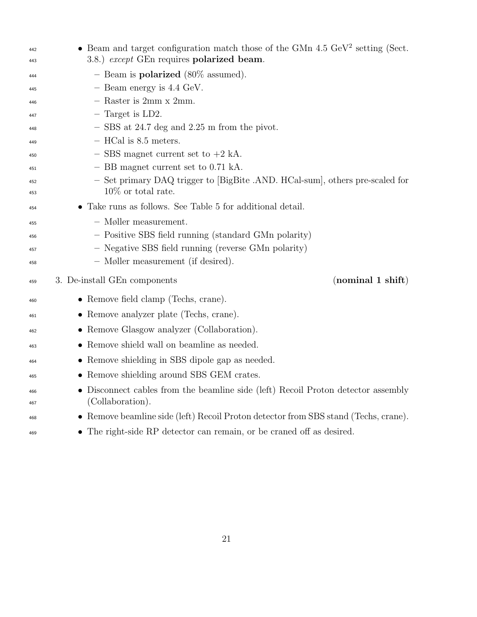| 442<br>443 | • Beam and target configuration match those of the GMn $4.5 \text{ GeV}^2$ setting (Sect.<br>3.8.) except GEn requires polarized beam. |
|------------|----------------------------------------------------------------------------------------------------------------------------------------|
| 444        | - Beam is <b>polarized</b> (80\% assumed).                                                                                             |
| 445        | $-$ Beam energy is 4.4 GeV.                                                                                                            |
| 446        | $-$ Raster is 2mm x 2mm.                                                                                                               |
| 447        | $-$ Target is LD2.                                                                                                                     |
| 448        | $-$ SBS at 24.7 deg and 2.25 m from the pivot.                                                                                         |
| 449        | $-$ HCal is 8.5 meters.                                                                                                                |
| 450        | $-$ SBS magnet current set to $+2$ kA.                                                                                                 |
| 451        | - BB magnet current set to 0.71 kA.                                                                                                    |
| 452        | - Set primary DAQ trigger to [BigBite .AND. HCal-sum], others pre-scaled for                                                           |
| 453        | $10\%$ or total rate.                                                                                                                  |
| 454        | • Take runs as follows. See Table 5 for additional detail.                                                                             |
| 455        | $-$ Møller measurement.                                                                                                                |
| 456        | - Positive SBS field running (standard GMn polarity)                                                                                   |
| 457        | - Negative SBS field running (reverse GMn polarity)                                                                                    |
| 458        | - Møller measurement (if desired).                                                                                                     |
| 459        | (nominal 1 shift)<br>3. De-install GEn components                                                                                      |
| 460        | • Remove field clamp (Techs, crane).                                                                                                   |
| 461        | • Remove analyzer plate (Techs, crane).                                                                                                |
| 462        | • Remove Glasgow analyzer (Collaboration).                                                                                             |
| 463        | • Remove shield wall on beamline as needed.                                                                                            |
| 464        | • Remove shielding in SBS dipole gap as needed.                                                                                        |
| 465        | • Remove shielding around SBS GEM crates.                                                                                              |
| 466<br>467 | • Disconnect cables from the beamline side (left) Recoil Proton detector assembly<br>(Collaboration).                                  |
| 468        | • Remove beamline side (left) Recoil Proton detector from SBS stand (Techs, crane).                                                    |
| 469        | • The right-side RP detector can remain, or be craned off as desired.                                                                  |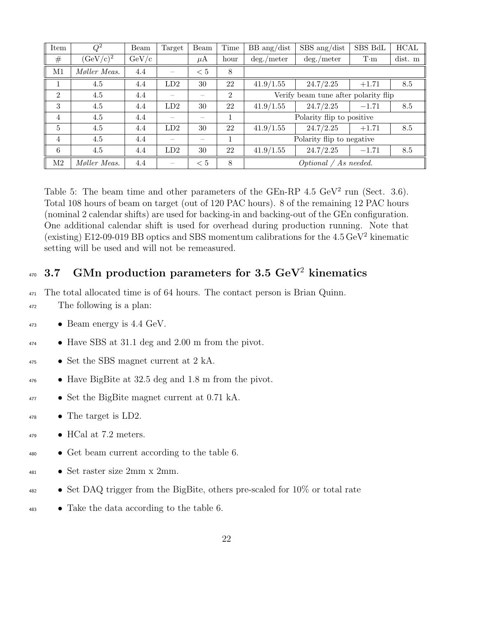| Item           | $Q^2$           | Beam        | Target | Beam    | Time           | $BB \text{ ang/dist}$     | $SBS$ ang/dist                       | SBS BdL     | $\rm HCAL$ |
|----------------|-----------------|-------------|--------|---------|----------------|---------------------------|--------------------------------------|-------------|------------|
| #              | $(\rm GeV/c)^2$ | $\rm GeV/c$ |        | $\mu$ A | hour           | $\deg$ ./meter            | deg./meter                           | $T \cdot m$ | dist. m    |
| M1             | Møller Meas.    | 4.4         |        | $< 5\,$ | 8              |                           |                                      |             |            |
|                | 4.5             | 4.4         | LD2    | 30      | 22             | 41.9/1.55                 | 24.7/2.25                            | $+1.71$     | 8.5        |
| $\overline{2}$ | 4.5             | 4.4         |        |         | $\overline{2}$ |                           | Verify beam tune after polarity flip |             |            |
| 3              | 4.5             | 4.4         | LD2    | 30      | 22             | 41.9/1.55                 | 24.7/2.25                            | $-1.71$     | 8.5        |
| $\overline{4}$ | 4.5             | 4.4         |        |         |                |                           | Polarity flip to positive            |             |            |
| $\overline{5}$ | 4.5             | 4.4         | LD2    | 30      | 22             | 41.9/1.55                 | 24.7/2.25                            | $+1.71$     | 8.5        |
| $\overline{4}$ | 4.5             | 4.4         |        |         | 1              | Polarity flip to negative |                                      |             |            |
| 6              | 4.5             | 4.4         | LD2    | 30      | 22             | 41.9/1.55                 | 24.7/2.25                            | $-1.71$     | 8.5        |
| M2             | Møller Meas.    | 4.4         |        | $< 5\,$ | 8              | Optional / As needed.     |                                      |             |            |

Table 5: The beam time and other parameters of the GEn-RP  $4.5 \text{ GeV}^2$  run (Sect. 3.6). Total 108 hours of beam on target (out of 120 PAC hours). 8 of the remaining 12 PAC hours (nominal 2 calendar shifts) are used for backing-in and backing-out of the GEn configuration. One additional calendar shift is used for overhead during production running. Note that (existing) E12-09-019 BB optics and SBS momentum calibrations for the  $4.5\,{\rm GeV^2}$  kinematic setting will be used and will not be remeasured.

## $_{470}$  3.7  $\,$  GMn production parameters for 3.5 GeV $^{2}$  kinematics

The total allocated time is of 64 hours. The contact person is Brian Quinn.

- The following is a plan:
- Beam energy is 4.4 GeV.
- Have SBS at 31.1 deg and 2.00 m from the pivot.
- Set the SBS magnet current at 2 kA.
- Have BigBite at 32.5 deg and 1.8 m from the pivot.
- Set the BigBite magnet current at 0.71 kA.
- The target is LD2.
- $\bullet$  HCal at 7.2 meters.
- Get beam current according to the table 6.
- Set raster size 2mm x 2mm.
- Set DAQ trigger from the BigBite, others pre-scaled for 10% or total rate
- Take the data according to the table 6.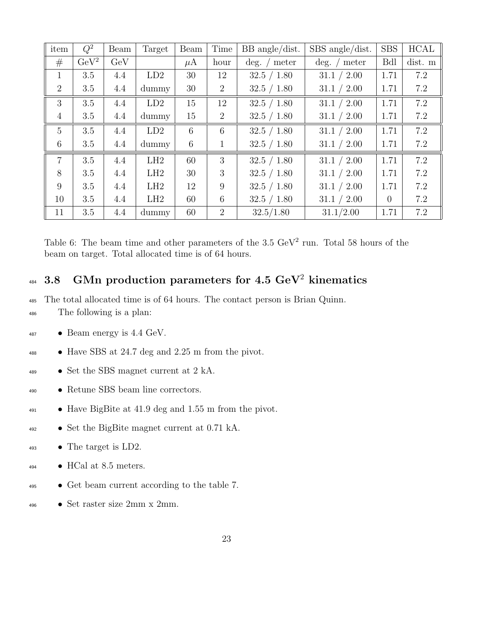| item           | $Q^2$       | Beam | Target | Beam            | Time           | $BB$ angle/dist. | SBS angle/dist. | <b>SBS</b> | <b>HCAL</b> |
|----------------|-------------|------|--------|-----------------|----------------|------------------|-----------------|------------|-------------|
| #              | $\rm GeV^2$ | GeV  |        | $\mu$ A         | hour           | $\deg.$<br>meter | $\deg.$ / meter | <b>Bdl</b> | dist. m     |
| 1              | 3.5         | 4.4  | LD2    | 30              | 12             | 32.5 / 1.80      | 31.1 / 2.00     | 1.71       | 7.2         |
| $\overline{2}$ | 3.5         | 4.4  | dummy  | 30              | $\overline{2}$ | 32.5 / 1.80      | 31.1 / 2.00     | 1.71       | 7.2         |
| 3              | 3.5         | 4.4  | LD2    | 15              | 12             | 32.5 / 1.80      | 31.1 / 2.00     | 1.71       | 7.2         |
| $\overline{4}$ | 3.5         | 4.4  | dummy  | 15              | $\overline{2}$ | 32.5 / 1.80      | 31.1 / 2.00     | 1.71       | 7.2         |
| $\overline{5}$ | 3.5         | 4.4  | LD2    | 6               | 6              | 32.5 / 1.80      | 31.1 / 2.00     | 1.71       | 7.2         |
| 6              | 3.5         | 4.4  | dummy  | $6\phantom{.}6$ | $\mathbf{1}$   | 32.5 / 1.80      | 31.1 / 2.00     | 1.71       | 7.2         |
| $\overline{7}$ | 3.5         | 4.4  | LH2    | 60              | 3              | 32.5 / 1.80      | 31.1 / 2.00     | 1.71       | 7.2         |
| 8              | 3.5         | 4.4  | LH2    | 30              | 3              | 32.5 / 1.80      | 31.1 / 2.00     | 1.71       | 7.2         |
| 9              | 3.5         | 4.4  | LH2    | 12              | 9              | 32.5 / 1.80      | 31.1 / 2.00     | 1.71       | 7.2         |
| 10             | 3.5         | 4.4  | LH2    | 60              | 6              | 32.5 / 1.80      | 31.1 / 2.00     | $\theta$   | 7.2         |
| 11             | 3.5         | 4.4  | dummy  | 60              | $\overline{2}$ | 32.5/1.80        | 31.1/2.00       | 1.71       | 7.2         |

Table 6: The beam time and other parameters of the  $3.5 \text{ GeV}^2$  run. Total 58 hours of the beam on target. Total allocated time is of 64 hours.

## $_{484}$  3.8 GMn production parameters for 4.5 GeV<sup>2</sup> kinematics

The total allocated time is of 64 hours. The contact person is Brian Quinn.

- The following is a plan:
- Beam energy is 4.4 GeV.
- Have SBS at 24.7 deg and 2.25 m from the pivot.
- Set the SBS magnet current at 2 kA.
- Retune SBS beam line correctors.
- Have BigBite at 41.9 deg and 1.55 m from the pivot.
- Set the BigBite magnet current at 0.71 kA.
- The target is LD2.
- HCal at 8.5 meters.
- Get beam current according to the table 7.
- Set raster size 2mm x 2mm.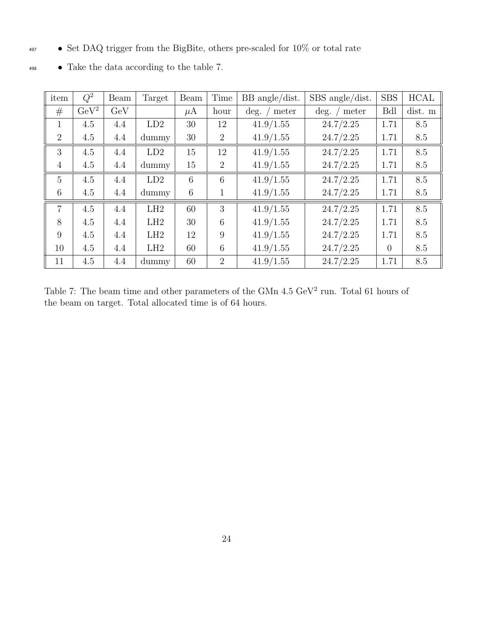• Set DAQ trigger from the BigBite, others pre-scaled for 10% or total rate

| item           | $Q^2$       | Beam | Target | Beam    | Time           | BB angle/dist.     | SBS angle/dist.             | <b>SBS</b>     | <b>HCAL</b> |
|----------------|-------------|------|--------|---------|----------------|--------------------|-----------------------------|----------------|-------------|
| #              | $\rm GeV^2$ | GeV  |        | $\mu$ A | hour           | $\deg.$ /<br>meter | $\deg.$ /<br>$\prime$ meter | <b>Bdl</b>     | dist. m     |
| $\mathbf{1}$   | 4.5         | 4.4  | LD2    | 30      | 12             | 41.9/1.55          | 24.7/2.25                   | 1.71           | 8.5         |
| $\overline{2}$ | 4.5         | 4.4  | dummy  | 30      | $\overline{2}$ | 41.9/1.55          | 24.7/2.25                   | 1.71           | 8.5         |
| 3              | 4.5         | 4.4  | LD2    | 15      | 12             | 41.9/1.55          | 24.7/2.25                   | 1.71           | 8.5         |
| $\overline{4}$ | 4.5         | 4.4  | dummy  | 15      | $\overline{2}$ | 41.9/1.55          | 24.7/2.25                   | 1.71           | 8.5         |
| $\overline{5}$ | 4.5         | 4.4  | LD2    | 6       | 6              | 41.9/1.55          | 24.7/2.25                   | 1.71           | 8.5         |
| 6              | 4.5         | 4.4  | dummy  | 6       | 1              | 41.9/1.55          | 24.7/2.25                   | 1.71           | 8.5         |
| $\overline{7}$ | 4.5         | 4.4  | LH2    | 60      | 3              | 41.9/1.55          | 24.7/2.25                   | 1.71           | 8.5         |
| 8              | 4.5         | 4.4  | LH2    | 30      | 6              | 41.9/1.55          | 24.7/2.25                   | 1.71           | 8.5         |
| 9              | 4.5         | 4.4  | LH2    | 12      | 9              | 41.9/1.55          | 24.7/2.25                   | 1.71           | 8.5         |
| 10             | 4.5         | 4.4  | LH2    | 60      | 6              | 41.9/1.55          | 24.7/2.25                   | $\overline{0}$ | 8.5         |
| 11             | 4.5         | 4.4  | dummy  | 60      | $\overline{2}$ | 41.9/1.55          | 24.7/2.25                   | 1.71           | 8.5         |

 $\bullet$  Take the data according to the table 7.

Table 7: The beam time and other parameters of the GMn  $4.5 \text{ GeV}^2$  run. Total 61 hours of the beam on target. Total allocated time is of 64 hours.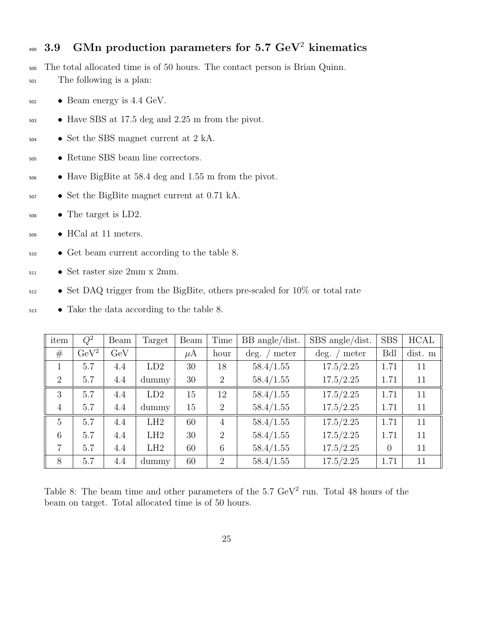## $_{499}$  3.9  $\,$  GMn production parameters for 5.7 GeV $^{2}$  kinematics

- The total allocated time is of 50 hours. The contact person is Brian Quinn.
- The following is a plan:
- Beam energy is 4.4 GeV.
- Have SBS at 17.5 deg and 2.25 m from the pivot.
- Set the SBS magnet current at 2 kA.
- Retune SBS beam line correctors.
- Have BigBite at 58.4 deg and 1.55 m from the pivot.
- Set the BigBite magnet current at 0.71 kA.
- The target is LD2.
- HCal at 11 meters.
- Get beam current according to the table 8.
- Set raster size 2mm x 2mm.
- Set DAQ trigger from the BigBite, others pre-scaled for 10% or total rate
- Take the data according to the table 8.

| item           | $Q^2$       | Beam | Target | Beam    | Time           | $BB$ angle/dist. | SBS angle/dist. | <b>SBS</b>     | <b>HCAL</b> |
|----------------|-------------|------|--------|---------|----------------|------------------|-----------------|----------------|-------------|
| #              | $\rm GeV^2$ | GeV  |        | $\mu$ A | hour           | deg.<br>meter    | deg.<br>' meter | <b>Bdl</b>     | dist. m     |
|                | 5.7         | 4.4  | LD2    | 30      | 18             | 58.4/1.55        | 17.5/2.25       | 1.71           | 11          |
| 2              | 5.7         | 4.4  | dummy  | 30      | 2              | 58.4/1.55        | 17.5/2.25       | 1.71           | 11          |
| 3              | 5.7         | 4.4  | LD2    | 15      | 12             | 58.4/1.55        | 17.5/2.25       | 1.71           | 11          |
| $\overline{4}$ | 5.7         | 4.4  | dummy  | 15      | 2              | 58.4/1.55        | 17.5/2.25       | 1.71           | 11          |
| $\overline{5}$ | 5.7         | 4.4  | LH2    | 60      | $\overline{4}$ | 58.4/1.55        | 17.5/2.25       | 1.71           | 11          |
| 6              | 5.7         | 4.4  | LH2    | 30      | $\overline{2}$ | 58.4/1.55        | 17.5/2.25       | 1.71           | 11          |
| $\overline{7}$ | 5.7         | 4.4  | LH2    | 60      | 6              | 58.4/1.55        | 17.5/2.25       | $\overline{0}$ | 11          |
| 8              | 5.7         | 4.4  | dummy  | 60      | $\overline{2}$ | 58.4/1.55        | 17.5/2.25       | 1.71           | 11          |

Table 8: The beam time and other parameters of the  $5.7 \text{ GeV}^2$  run. Total 48 hours of the beam on target. Total allocated time is of 50 hours.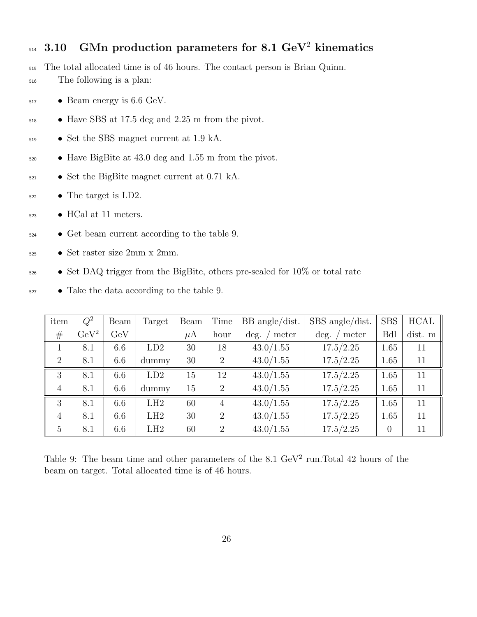## $_{514}$  3.10 GMn production parameters for 8.1 GeV<sup>2</sup> kinematics

The total allocated time is of 46 hours. The contact person is Brian Quinn.

- The following is a plan:
- Beam energy is 6.6 GeV.
- Have SBS at 17.5 deg and 2.25 m from the pivot.
- Set the SBS magnet current at 1.9 kA.
- Have BigBite at 43.0 deg and 1.55 m from the pivot.
- Set the BigBite magnet current at 0.71 kA.
- $\bullet$  The target is LD2.
- $523 \rightarrow HCal$  at 11 meters.
- Get beam current according to the table 9.
- Set raster size 2mm x 2mm.
- Set DAQ trigger from the BigBite, others pre-scaled for 10% or total rate
- $\bullet$  Take the data according to the table 9.

| item           | $Q^2$       | Beam | Target | Beam    | Time           | $BB$ angle/dist. | SBS angle/dist. | <b>SBS</b> | <b>HCAL</b> |
|----------------|-------------|------|--------|---------|----------------|------------------|-----------------|------------|-------------|
| #              | $\rm GeV^2$ | GeV  |        | $\mu$ A | hour           | deg.<br>meter    | deg.<br>meter   | <b>Bdl</b> | dist. m     |
| $\mathbf{1}$   | 8.1         | 6.6  | LD2    | 30      | 18             | 43.0/1.55        | 17.5/2.25       | 1.65       | 11          |
| $\overline{2}$ | 8.1         | 6.6  | dummy  | 30      | $\overline{2}$ | 43.0/1.55        | 17.5/2.25       | 1.65       | 11          |
| 3              | 8.1         | 6.6  | LD2    | 15      | 12             | 43.0/1.55        | 17.5/2.25       | 1.65       | 11          |
| $\overline{4}$ | 8.1         | 6.6  | dummy  | 15      | $\overline{2}$ | 43.0/1.55        | 17.5/2.25       | 1.65       | 11          |
| 3              | 8.1         | 6.6  | LH2    | 60      | $\overline{4}$ | 43.0/1.55        | 17.5/2.25       | 1.65       | 11          |
| $\overline{4}$ | 8.1         | 6.6  | LH2    | 30      | $\overline{2}$ | 43.0/1.55        | 17.5/2.25       | 1.65       | 11          |
| 5              | 8.1         | 6.6  | LH2    | 60      | $\overline{2}$ | 43.0/1.55        | 17.5/2.25       | $\theta$   | 11          |

Table 9: The beam time and other parameters of the  $8.1 \text{ GeV}^2$  run. Total 42 hours of the beam on target. Total allocated time is of 46 hours.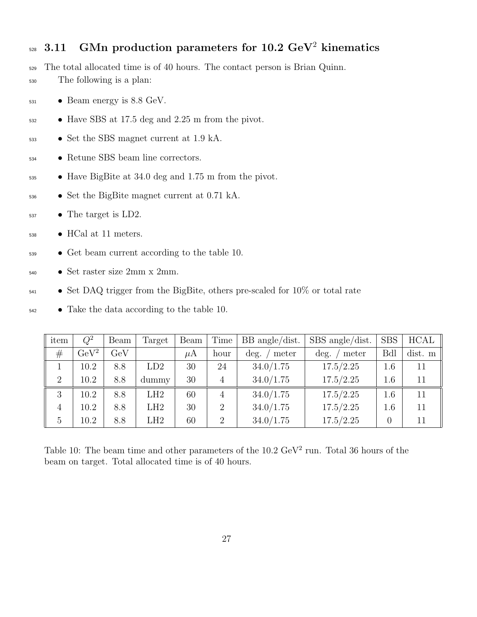## 3.11 GMn production parameters for 10.2 GeV<sup>2</sup> kinematics

- The total allocated time is of 40 hours. The contact person is Brian Quinn.
- The following is a plan:
- $_{531}$  Beam energy is 8.8 GeV.
- Have SBS at 17.5 deg and 2.25 m from the pivot.
- Set the SBS magnet current at 1.9 kA.
- Retune SBS beam line correctors.
- Have BigBite at 34.0 deg and 1.75 m from the pivot.
- Set the BigBite magnet current at 0.71 kA.
- The target is LD2.
- HCal at 11 meters.
- Get beam current according to the table 10.
- Set raster size 2mm x 2mm.
- Set DAQ trigger from the BigBite, others pre-scaled for 10% or total rate
- Take the data according to the table 10.

| item           | $Q^2$       | Beam        | Target | Beam    | Time           | $BB$ angle/dist. | $SBS$ angle/dist. | <b>SBS</b> | HCAL    |
|----------------|-------------|-------------|--------|---------|----------------|------------------|-------------------|------------|---------|
| #              | $\rm GeV^2$ | ${\rm GeV}$ |        | $\mu$ A | hour           | meter<br>deg.    | deg.<br>meter     | <b>Bdl</b> | dist. m |
|                | 10.2        | 8.8         | LD2    | 30      | 24             | 34.0/1.75        | 17.5/2.25         | 1.6        | 11      |
| $\overline{2}$ | 10.2        | 8.8         | dummy  | 30      | 4              | 34.0/1.75        | 17.5/2.25         | 1.6        | 11      |
| 3              | 10.2        | 8.8         | LH2    | 60      | $\overline{4}$ | 34.0/1.75        | 17.5/2.25         | 1.6        | 11      |
| 4              | 10.2        | 8.8         | LH2    | 30      | $\overline{2}$ | 34.0/1.75        | 17.5/2.25         | 1.6        | 11      |
| $\overline{5}$ | 10.2        | 8.8         | LH2    | 60      | $\overline{2}$ | 34.0/1.75        | 17.5/2.25         |            | 11      |

Table 10: The beam time and other parameters of the  $10.2 \text{ GeV}^2$  run. Total 36 hours of the beam on target. Total allocated time is of 40 hours.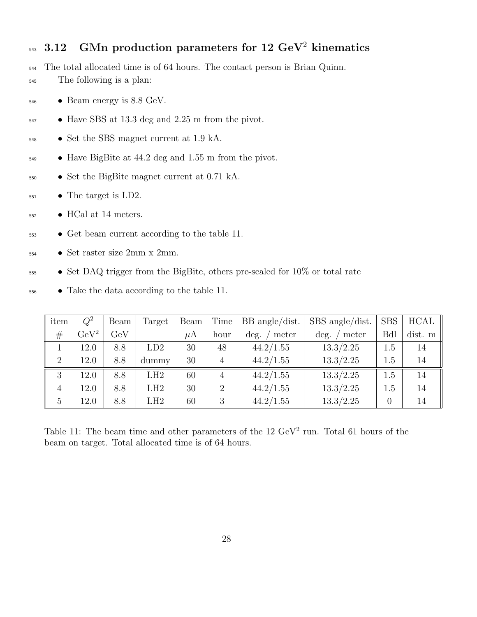## $_{543}$  3.12 GMn production parameters for 12 GeV<sup>2</sup> kinematics

The total allocated time is of 64 hours. The contact person is Brian Quinn.

- The following is a plan:
- Beam energy is 8.8 GeV.
- Have SBS at 13.3 deg and 2.25 m from the pivot.
- Set the SBS magnet current at 1.9 kA.
- Have BigBite at 44.2 deg and 1.55 m from the pivot.
- Set the BigBite magnet current at 0.71 kA.
- $\bullet$  The target is LD2.
- HCal at 14 meters.
- Get beam current according to the table 11.
- Set raster size 2mm x 2mm.
- Set DAQ trigger from the BigBite, others pre-scaled for 10% or total rate
- Take the data according to the table 11.

| item           | $Q^2$       | Beam        | Target | Beam | Time           | $BB$ angle/dist. | $SBS$ angle/dist. | <b>SBS</b> | <b>HCAL</b> |
|----------------|-------------|-------------|--------|------|----------------|------------------|-------------------|------------|-------------|
| #              | $\rm GeV^2$ | ${\rm GeV}$ |        | μA   | hour           | meter<br>deg.    | deg.<br>meter     | Bdl        | dist. m     |
|                | 12.0        | 8.8         | LD2    | 30   | 48             | 44.2/1.55        | 13.3/2.25         | $1.5\,$    | 14          |
| $\overline{2}$ | 12.0        | 8.8         | dummy  | 30   | 4              | 44.2/1.55        | 13.3/2.25         | 1.5        | 14          |
| 3              | 12.0        | 8.8         | LH2    | 60   | $\overline{4}$ | 44.2/1.55        | 13.3/2.25         | 1.5        | 14          |
| 4              | 12.0        | 8.8         | LH2    | 30   | $\overline{2}$ | 44.2/1.55        | 13.3/2.25         | $1.5\,$    | 14          |
| 5              | 12.0        | 8.8         | LH2    | 60   | 3              | 44.2/1.55        | 13.3/2.25         |            | 14          |

Table 11: The beam time and other parameters of the  $12 \text{ GeV}^2$  run. Total 61 hours of the beam on target. Total allocated time is of 64 hours.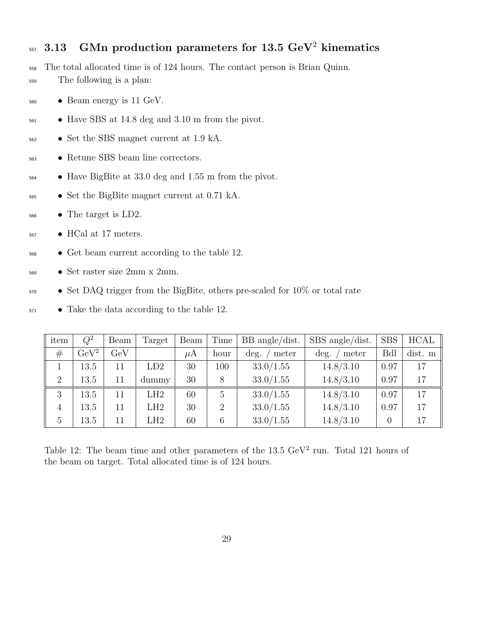## $_{557}$  3.13 GMn production parameters for 13.5 GeV<sup>2</sup> kinematics

- The total allocated time is of 124 hours. The contact person is Brian Quinn.
- The following is a plan:
- Beam energy is 11 GeV.
- Have SBS at 14.8 deg and 3.10 m from the pivot.
- Set the SBS magnet current at 1.9 kA.
- Retune SBS beam line correctors.
- Have BigBite at 33.0 deg and 1.55 m from the pivot.
- Set the BigBite magnet current at 0.71 kA.
- The target is LD2.
- HCal at 17 meters.
- Get beam current according to the table 12.
- Set raster size 2mm x 2mm.
- Set DAQ trigger from the BigBite, others pre-scaled for 10% or total rate
- Take the data according to the table 12.

| item           | $Q^2$       | Beam        | Target | Beam    | Time           | $BB$ angle/dist. | $SBS$ angle/dist. | <b>SBS</b> | <b>HCAL</b> |
|----------------|-------------|-------------|--------|---------|----------------|------------------|-------------------|------------|-------------|
| #              | $\rm GeV^2$ | ${\rm GeV}$ |        | $\mu$ A | hour           | meter<br>deg.    | deg.<br>meter     | <b>Bdl</b> | dist. m     |
|                | 13.5        | 11          | LD2    | 30      | 100            | 33.0/1.55        | 14.8/3.10         | 0.97       | 17          |
| $\overline{2}$ | 13.5        | 11          | dummy  | 30      | 8              | 33.0/1.55        | 14.8/3.10         | 0.97       | 17          |
| 3              | 13.5        | 11          | LH2    | 60      | 5              | 33.0/1.55        | 14.8/3.10         | 0.97       | 17          |
| 4              | 13.5        | 11          | LH2    | 30      | $\overline{2}$ | 33.0/1.55        | 14.8/3.10         | 0.97       | 17          |
| $\overline{5}$ | 13.5        | 11          | LH2    | 60      | 6              | 33.0/1.55        | 14.8/3.10         |            | 17          |

Table 12: The beam time and other parameters of the  $13.5 \text{ GeV}^2$  run. Total 121 hours of the beam on target. Total allocated time is of 124 hours.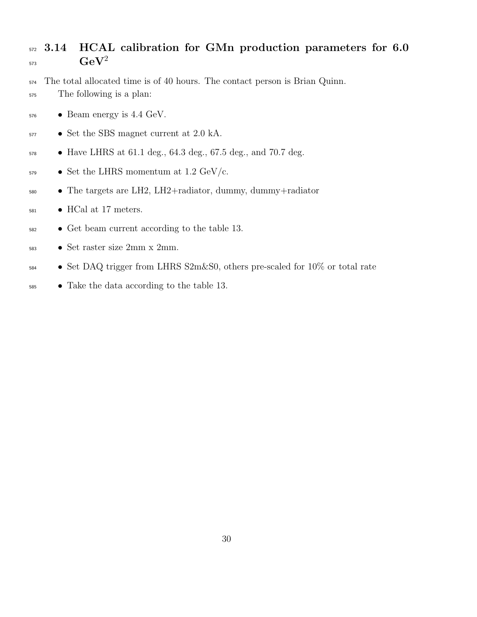#### 572 3.14 HCAL calibration for GMn production parameters for 6.0  $\mathrm{GeV}^2$

 The total allocated time is of 40 hours. The contact person is Brian Quinn. The following is a plan:

- Beam energy is 4.4 GeV.
- Set the SBS magnet current at 2.0 kA.
- Have LHRS at 61.1 deg., 64.3 deg., 67.5 deg., and 70.7 deg.
- Set the LHRS momentum at 1.2 GeV/c.
- The targets are LH2, LH2+radiator, dummy, dummy+radiator
- $_{581}$  HCal at 17 meters.
- Get beam current according to the table 13.
- Set raster size 2mm x 2mm.
- Set DAQ trigger from LHRS S2m&S0, others pre-scaled for 10% or total rate
- Take the data according to the table 13.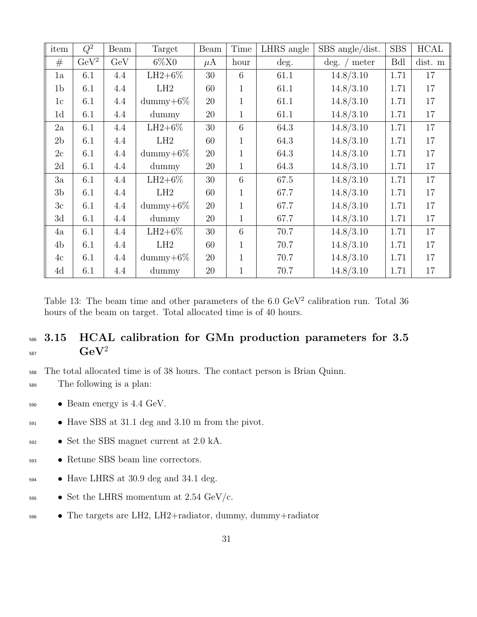| item           | $Q^2$       | Beam | Target             | Beam    | Time         | LHRS angle | SBS angle/dist.            | <b>SBS</b> | <b>HCAL</b> |
|----------------|-------------|------|--------------------|---------|--------------|------------|----------------------------|------------|-------------|
| #              | $\rm GeV^2$ | GeV  | $6\%X0$            | $\mu$ A | hour         | deg.       | $\deg.$ /<br>${\rm meter}$ | Bdl        | dist. m     |
| 1a             | 6.1         | 4.4  | $LH2+6%$           | 30      | 6            | 61.1       | 14.8/3.10                  | 1.71       | 17          |
| 1 <sub>b</sub> | 6.1         | 4.4  | LH2                | 60      | $\mathbf{1}$ | 61.1       | 14.8/3.10                  | 1.71       | 17          |
| 1c             | 6.1         | 4.4  | $\text{dummy}+6\%$ | 20      | $\mathbf{1}$ | 61.1       | 14.8/3.10                  | 1.71       | 17          |
| 1 <sub>d</sub> | 6.1         | 4.4  | dummy              | 20      | $\mathbf{1}$ | 61.1       | 14.8/3.10                  | 1.71       | 17          |
| 2a             | 6.1         | 4.4  | $LH2+6%$           | 30      | 6            | 64.3       | 14.8/3.10                  | 1.71       | 17          |
| 2 <sub>b</sub> | 6.1         | 4.4  | LH2                | 60      | $\mathbf{1}$ | 64.3       | 14.8/3.10                  | 1.71       | 17          |
| 2c             | 6.1         | 4.4  | $\text{dummy}+6\%$ | 20      | $\mathbf{1}$ | 64.3       | 14.8/3.10                  | 1.71       | 17          |
| 2d             | 6.1         | 4.4  | dummy              | 20      | $\mathbf{1}$ | 64.3       | 14.8/3.10                  | 1.71       | 17          |
| 3a             | 6.1         | 4.4  | $LH2+6%$           | 30      | 6            | 67.5       | 14.8/3.10                  | 1.71       | 17          |
| 3 <sub>b</sub> | 6.1         | 4.4  | LH2                | 60      | $\mathbf{1}$ | 67.7       | 14.8/3.10                  | 1.71       | 17          |
| 3c             | 6.1         | 4.4  | dummy $+6\%$       | 20      | $\mathbf{1}$ | 67.7       | 14.8/3.10                  | 1.71       | 17          |
| 3d             | 6.1         | 4.4  | dummy              | 20      | $\mathbf{1}$ | 67.7       | 14.8/3.10                  | 1.71       | 17          |
| 4a             | 6.1         | 4.4  | $LH2+6%$           | 30      | 6            | 70.7       | 14.8/3.10                  | 1.71       | 17          |
| 4 <sub>b</sub> | 6.1         | 4.4  | LH2                | 60      | $\mathbf{1}$ | 70.7       | 14.8/3.10                  | 1.71       | 17          |
| 4c             | 6.1         | 4.4  | $\text{dummy}+6\%$ | 20      | $\mathbf{1}$ | 70.7       | 14.8/3.10                  | 1.71       | 17          |
| 4d             | 6.1         | 4.4  | dummy              | 20      | $\mathbf{1}$ | 70.7       | 14.8/3.10                  | 1.71       | 17          |

Table 13: The beam time and other parameters of the  $6.0 \text{ GeV}^2$  calibration run. Total 36 hours of the beam on target. Total allocated time is of 40 hours.

#### 586 3.15 HCAL calibration for GMn production parameters for 3.5  $\mathrm{GeV}^2$ 587

<sup>588</sup> The total allocated time is of 38 hours. The contact person is Brian Quinn.

- <sup>589</sup> The following is a plan:
- <sup>590</sup> Beam energy is 4.4 GeV.
- <sup>591</sup> Have SBS at 31.1 deg and 3.10 m from the pivot.
- <sup>592</sup> Set the SBS magnet current at 2.0 kA.
- <sup>593</sup> Retune SBS beam line correctors.
- <sup>594</sup> Have LHRS at 30.9 deg and 34.1 deg.
- 595 Set the LHRS momentum at 2.54 GeV/c.
- <sup>596</sup> The targets are LH2, LH2+radiator, dummy, dummy+radiator